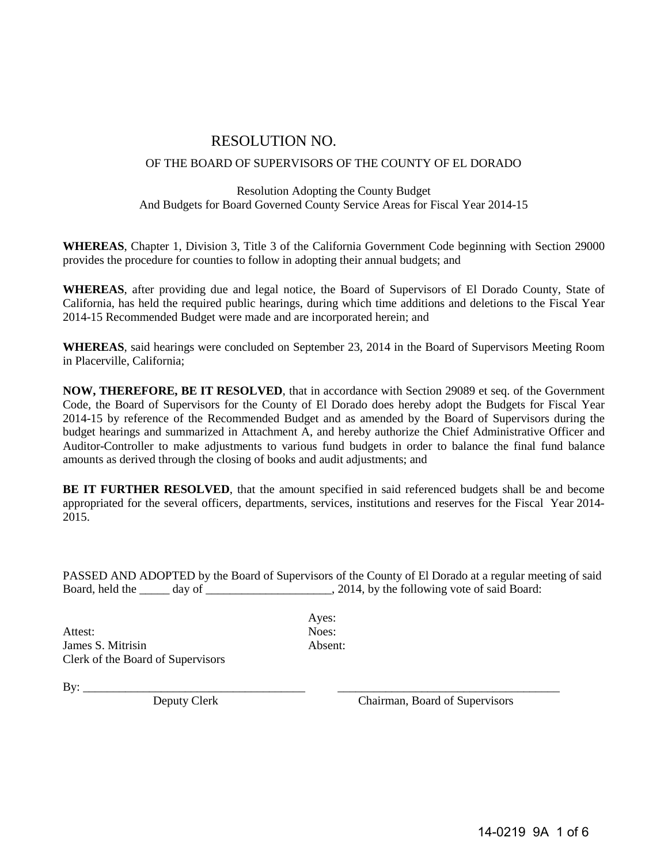# RESOLUTION NO.

#### OF THE BOARD OF SUPERVISORS OF THE COUNTY OF EL DORADO

#### Resolution Adopting the County Budget And Budgets for Board Governed County Service Areas for Fiscal Year 2014-15

**WHEREAS**, Chapter 1, Division 3, Title 3 of the California Government Code beginning with Section 29000 provides the procedure for counties to follow in adopting their annual budgets; and

**WHEREAS**, after providing due and legal notice, the Board of Supervisors of El Dorado County, State of California, has held the required public hearings, during which time additions and deletions to the Fiscal Year 2014-15 Recommended Budget were made and are incorporated herein; and

**WHEREAS**, said hearings were concluded on September 23, 2014 in the Board of Supervisors Meeting Room in Placerville, California;

**NOW, THEREFORE, BE IT RESOLVED**, that in accordance with Section 29089 et seq. of the Government Code, the Board of Supervisors for the County of El Dorado does hereby adopt the Budgets for Fiscal Year 2014-15 by reference of the Recommended Budget and as amended by the Board of Supervisors during the budget hearings and summarized in Attachment A, and hereby authorize the Chief Administrative Officer and Auditor-Controller to make adjustments to various fund budgets in order to balance the final fund balance amounts as derived through the closing of books and audit adjustments; and

**BE IT FURTHER RESOLVED**, that the amount specified in said referenced budgets shall be and become appropriated for the several officers, departments, services, institutions and reserves for the Fiscal Year 2014- 2015.

PASSED AND ADOPTED by the Board of Supervisors of the County of El Dorado at a regular meeting of said Board, held the day of  $\qquad \qquad$  2014, by the following vote of said Board:

Attest: Noes: James S. Mitrisin Absent: Clerk of the Board of Supervisors

Ayes:

 $\text{By:}\_$ 

Deputy Clerk Chairman, Board of Supervisors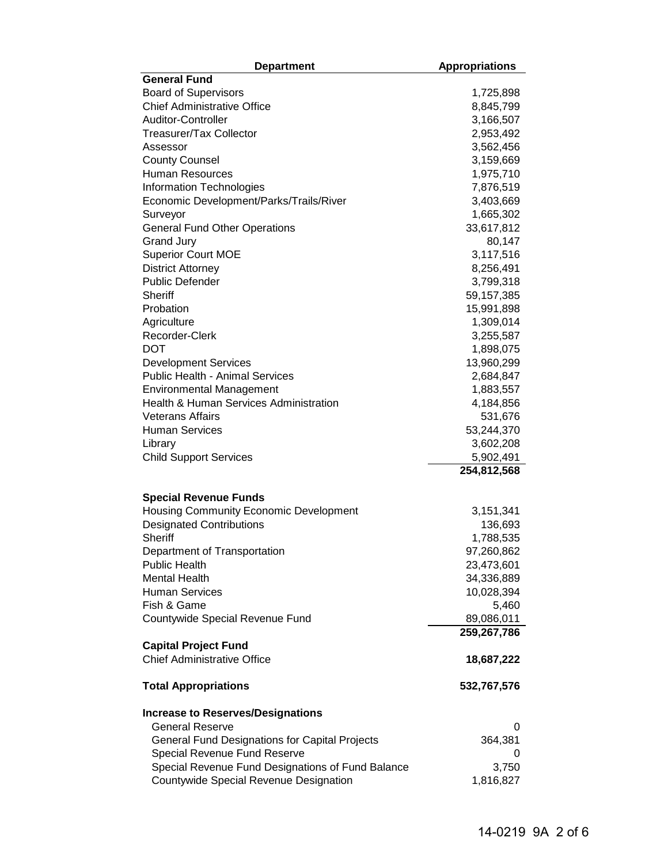| <b>Department</b>                                 | <b>Appropriations</b> |
|---------------------------------------------------|-----------------------|
| <b>General Fund</b>                               |                       |
| <b>Board of Supervisors</b>                       | 1,725,898             |
| <b>Chief Administrative Office</b>                | 8,845,799             |
| Auditor-Controller                                | 3,166,507             |
| <b>Treasurer/Tax Collector</b>                    | 2,953,492             |
| Assessor                                          | 3,562,456             |
| <b>County Counsel</b>                             | 3,159,669             |
| <b>Human Resources</b>                            | 1,975,710             |
| <b>Information Technologies</b>                   | 7,876,519             |
| Economic Development/Parks/Trails/River           | 3,403,669             |
| Surveyor                                          | 1,665,302             |
| <b>General Fund Other Operations</b>              | 33,617,812            |
| <b>Grand Jury</b>                                 | 80,147                |
| <b>Superior Court MOE</b>                         | 3,117,516             |
| <b>District Attorney</b>                          | 8,256,491             |
| <b>Public Defender</b>                            | 3,799,318             |
| <b>Sheriff</b>                                    | 59,157,385            |
| Probation                                         | 15,991,898            |
| Agriculture                                       | 1,309,014             |
| Recorder-Clerk                                    | 3,255,587             |
| <b>DOT</b>                                        | 1,898,075             |
| <b>Development Services</b>                       | 13,960,299            |
| <b>Public Health - Animal Services</b>            | 2,684,847             |
| <b>Environmental Management</b>                   | 1,883,557             |
| Health & Human Services Administration            | 4,184,856             |
| <b>Veterans Affairs</b>                           | 531,676               |
| <b>Human Services</b>                             | 53,244,370            |
| Library                                           | 3,602,208             |
| <b>Child Support Services</b>                     | 5,902,491             |
|                                                   | 254,812,568           |
| <b>Special Revenue Funds</b>                      |                       |
| Housing Community Economic Development            | 3,151,341             |
| <b>Designated Contributions</b>                   | 136,693               |
| <b>Sheriff</b>                                    | 1,788,535             |
| Department of Transportation                      | 97,260,862            |
| <b>Public Health</b>                              | 23,473,601            |
| <b>Mental Health</b>                              | 34,336,889            |
| <b>Human Services</b>                             | 10,028,394            |
| Fish & Game                                       | 5,460                 |
| Countywide Special Revenue Fund                   | 89,086,011            |
|                                                   | 259,267,786           |
| <b>Capital Project Fund</b>                       |                       |
| <b>Chief Administrative Office</b>                | 18,687,222            |
| <b>Total Appropriations</b>                       | 532,767,576           |
| <b>Increase to Reserves/Designations</b>          |                       |
| <b>General Reserve</b>                            | 0                     |
| General Fund Designations for Capital Projects    | 364,381               |
| Special Revenue Fund Reserve                      |                       |
| Special Revenue Fund Designations of Fund Balance | 3,750                 |
| Countywide Special Revenue Designation            | 1,816,827             |
|                                                   |                       |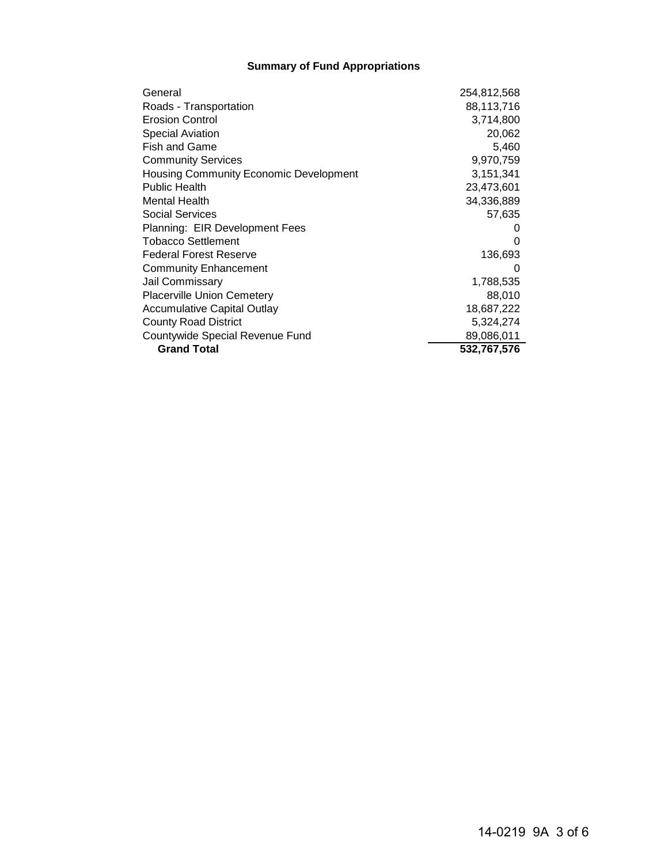### **Summary of Fund Appropriations**

| General                                       | 254,812,568 |
|-----------------------------------------------|-------------|
| Roads - Transportation                        | 88,113,716  |
| <b>Erosion Control</b>                        | 3,714,800   |
| <b>Special Aviation</b>                       | 20,062      |
| Fish and Game                                 | 5,460       |
| <b>Community Services</b>                     | 9,970,759   |
| <b>Housing Community Economic Development</b> | 3,151,341   |
| <b>Public Health</b>                          | 23,473,601  |
| <b>Mental Health</b>                          | 34,336,889  |
| Social Services                               | 57,635      |
| Planning: EIR Development Fees                |             |
| Tobacco Settlement                            | 0           |
| <b>Federal Forest Reserve</b>                 | 136,693     |
| <b>Community Enhancement</b>                  | 0           |
| Jail Commissary                               | 1,788,535   |
| <b>Placerville Union Cemetery</b>             | 88,010      |
| Accumulative Capital Outlay                   | 18,687,222  |
| <b>County Road District</b>                   | 5,324,274   |
| Countywide Special Revenue Fund               | 89,086,011  |
| <b>Grand Total</b>                            | 532,767,576 |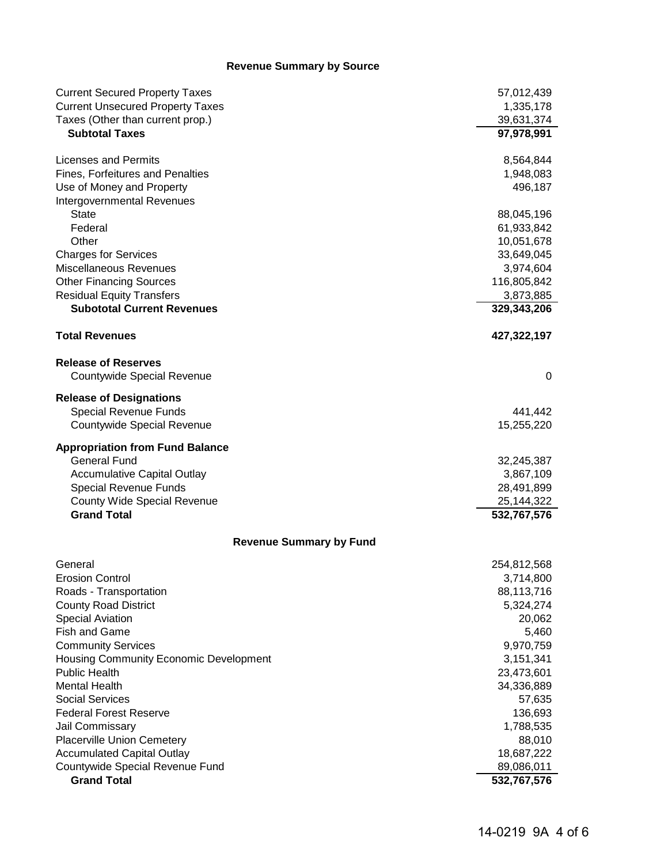### **Revenue Summary by Source**

| <b>Current Secured Property Taxes</b>   | 57,012,439  |
|-----------------------------------------|-------------|
| <b>Current Unsecured Property Taxes</b> | 1,335,178   |
| Taxes (Other than current prop.)        | 39,631,374  |
| <b>Subtotal Taxes</b>                   | 97,978,991  |
| Licenses and Permits                    | 8,564,844   |
| Fines, Forfeitures and Penalties        | 1,948,083   |
| Use of Money and Property               | 496,187     |
| Intergovernmental Revenues              |             |
| <b>State</b>                            | 88,045,196  |
| Federal                                 | 61,933,842  |
| Other                                   | 10,051,678  |
| <b>Charges for Services</b>             | 33,649,045  |
| Miscellaneous Revenues                  | 3,974,604   |
| <b>Other Financing Sources</b>          | 116,805,842 |
| <b>Residual Equity Transfers</b>        | 3,873,885   |
| <b>Subototal Current Revenues</b>       | 329,343,206 |
| <b>Total Revenues</b>                   | 427,322,197 |
| <b>Release of Reserves</b>              |             |
| Countywide Special Revenue              | 0           |
| <b>Release of Designations</b>          |             |
| Special Revenue Funds                   | 441,442     |
| Countywide Special Revenue              | 15,255,220  |
| <b>Appropriation from Fund Balance</b>  |             |
| <b>General Fund</b>                     | 32,245,387  |
| <b>Accumulative Capital Outlay</b>      | 3,867,109   |
| Special Revenue Funds                   | 28,491,899  |
| <b>County Wide Special Revenue</b>      | 25,144,322  |
| <b>Grand Total</b>                      | 532,767,576 |
| <b>Revenue Summary by Fund</b>          |             |
| General                                 | 254,812,568 |
| <b>Erosion Control</b>                  | 3,714,800   |
| Roads - Transportation                  | 88,113,716  |
| <b>County Road District</b>             | 5,324,274   |
| <b>Special Aviation</b>                 | 20,062      |
| <b>Fish and Game</b>                    | 5,460       |
| <b>Community Services</b>               | 9,970,759   |
| Housing Community Economic Development  | 3,151,341   |
| <b>Public Health</b>                    | 23,473,601  |
| <b>Mental Health</b>                    | 34,336,889  |
| <b>Social Services</b>                  | 57,635      |
| <b>Federal Forest Reserve</b>           | 136,693     |
| Jail Commissary                         | 1,788,535   |
| <b>Placerville Union Cemetery</b>       | 88,010      |
| <b>Accumulated Capital Outlay</b>       | 18,687,222  |
| Countywide Special Revenue Fund         | 89,086,011  |
| <b>Grand Total</b>                      | 532,767,576 |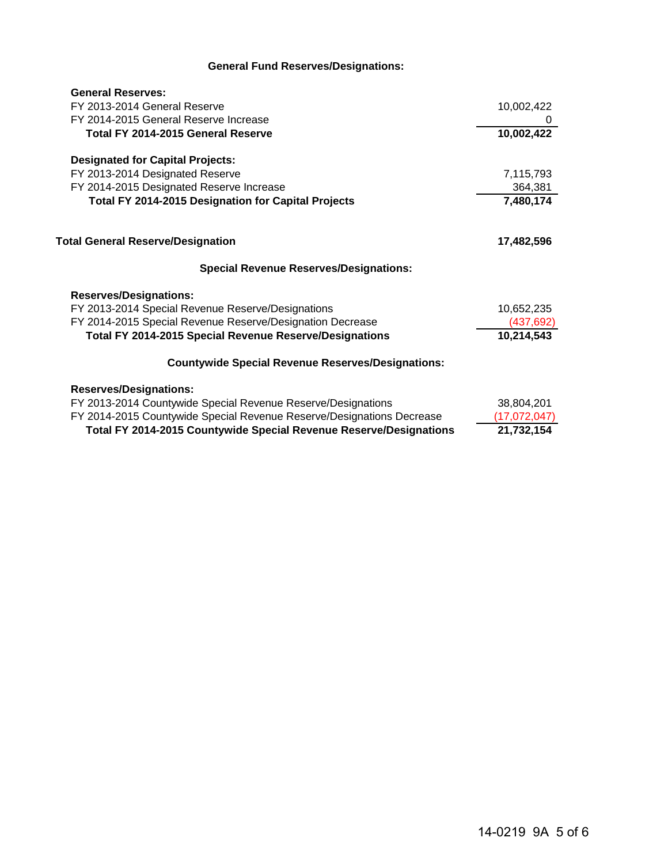## **General Fund Reserves/Designations:**

| <b>General Reserves:</b>                                              |              |
|-----------------------------------------------------------------------|--------------|
| FY 2013-2014 General Reserve                                          | 10,002,422   |
| FY 2014-2015 General Reserve Increase                                 | 0            |
| Total FY 2014-2015 General Reserve                                    | 10,002,422   |
| <b>Designated for Capital Projects:</b>                               |              |
| FY 2013-2014 Designated Reserve                                       | 7,115,793    |
| FY 2014-2015 Designated Reserve Increase                              | 364,381      |
| <b>Total FY 2014-2015 Designation for Capital Projects</b>            | 7,480,174    |
|                                                                       |              |
| <b>Total General Reserve/Designation</b>                              | 17,482,596   |
| <b>Special Revenue Reserves/Designations:</b>                         |              |
| <b>Reserves/Designations:</b>                                         |              |
| FY 2013-2014 Special Revenue Reserve/Designations                     | 10,652,235   |
| FY 2014-2015 Special Revenue Reserve/Designation Decrease             | (437, 692)   |
| <b>Total FY 2014-2015 Special Revenue Reserve/Designations</b>        | 10,214,543   |
| <b>Countywide Special Revenue Reserves/Designations:</b>              |              |
| <b>Reserves/Designations:</b>                                         |              |
| FY 2013-2014 Countywide Special Revenue Reserve/Designations          | 38,804,201   |
| FY 2014-2015 Countywide Special Revenue Reserve/Designations Decrease | (17,072,047) |
| Total FY 2014-2015 Countywide Special Revenue Reserve/Designations    | 21,732,154   |